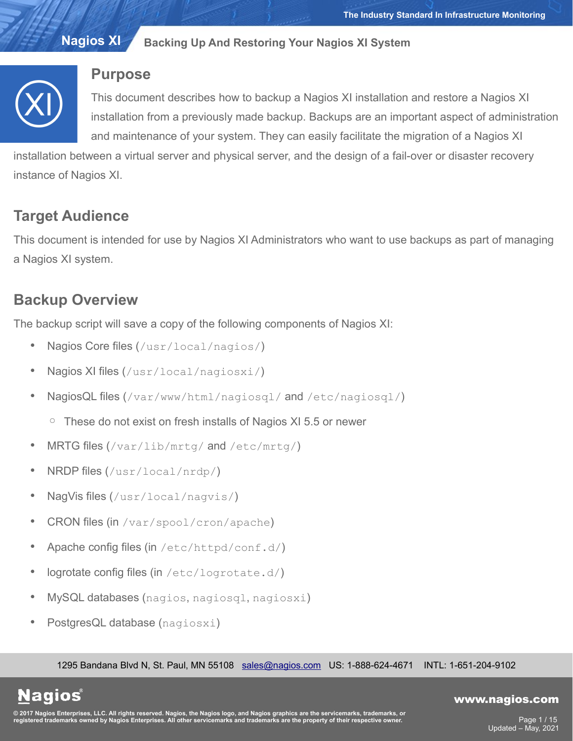

# **Purpose**

This document describes how to backup a Nagios XI installation and restore a Nagios XI installation from a previously made backup. Backups are an important aspect of administration and maintenance of your system. They can easily facilitate the migration of a Nagios XI

installation between a virtual server and physical server, and the design of a fail-over or disaster recovery instance of Nagios XI.

# **Target Audience**

This document is intended for use by Nagios XI Administrators who want to use backups as part of managing a Nagios XI system.

# **Backup Overview**

The backup script will save a copy of the following components of Nagios XI:

- Nagios Core files (/usr/local/nagios/)
- Nagios XI files (/usr/local/nagiosxi/)
- NagiosQL files (/var/www/html/nagiosql/ and /etc/nagiosql/)
	- These do not exist on fresh installs of Nagios XI 5.5 or newer
- MRTG files (/var/lib/mrtg/ and /etc/mrtg/)
- NRDP files (/usr/local/nrdp/)
- NagVis files (/usr/local/nagvis/)
- CRON files (in /var/spool/cron/apache)
- Apache config files (in /etc/httpd/conf.d/)
- logrotate config files (in  $/etc/loqrotate.d/$ )
- MySQL databases (nagios, nagiosql, nagiosxi)
- PostgresQL database (nagiosxi)

1295 Bandana Blvd N, St. Paul, MN 55108 [sales@nagios.com](mailto:sales@nagios.com) US: 1-888-624-4671 INTL: 1-651-204-9102

**Nagios®** 

## [www.nagios.com](https://www.nagios.com/)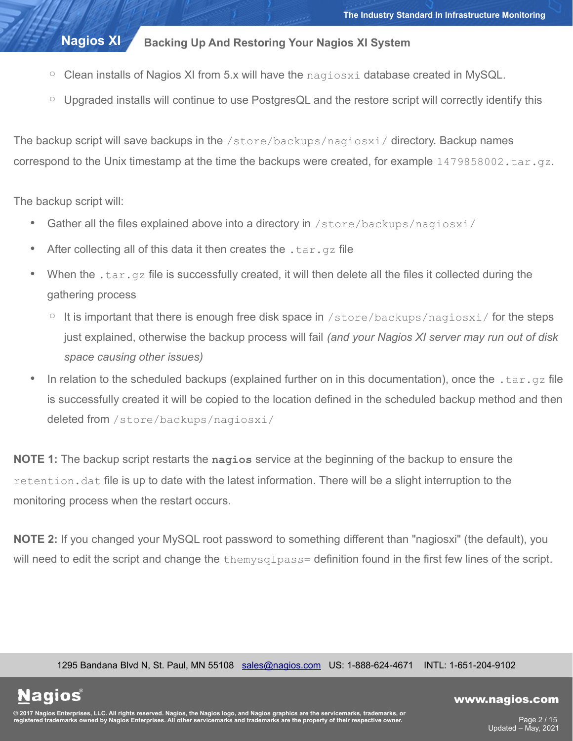- $\circ$  Clean installs of Nagios XI from 5.x will have the  $\frac{1}{1000}$  database created in MySQL.
- Upgraded installs will continue to use PostgresQL and the restore script will correctly identify this

The backup script will save backups in the /store/backups/nagiosxi/ directory. Backup names correspond to the Unix timestamp at the time the backups were created, for example  $1479858002.tar.gz.$ 

The backup script will:

**Nagios®** 

- Gather all the files explained above into a directory in /store/backups/nagiosxi/
- After collecting all of this data it then creates the  $tan, qz$  file
- When the .  $tar.qz$  file is successfully created, it will then delete all the files it collected during the gathering process
	- $\circ$  It is important that there is enough free disk space in /store/backups/nagiosxi/ for the steps just explained, otherwise the backup process will fail *(and your Nagios XI server may run out of disk space causing other issues)*
- In relation to the scheduled backups (explained further on in this documentation), once the .tar.gz file is successfully created it will be copied to the location defined in the scheduled backup method and then deleted from / store/backups/nagiosxi/

**NOTE 1:** The backup script restarts the **nagios** service at the beginning of the backup to ensure the retention. dat file is up to date with the latest information. There will be a slight interruption to the monitoring process when the restart occurs.

**NOTE 2:** If you changed your MySQL root password to something different than "nagiosxi" (the default), you will need to edit the script and change the themysqlpass= definition found in the first few lines of the script.

1295 Bandana Blvd N, St. Paul, MN 55108 [sales@nagios.com](mailto:sales@nagios.com) US: 1-888-624-4671 INTL: 1-651-204-9102

© 2017 Nagios Enterprises, LLC. All rights reserved. Nagios, the Nagios logo, and Nagios graphics are the servicemarks, trademarks, or<br>registered trademarks owned by Nagios Enterprises. All other servicemarks and trademark

## [www.nagios.com](https://www.nagios.com/)

Page 2 / 15 Updated – May, 2021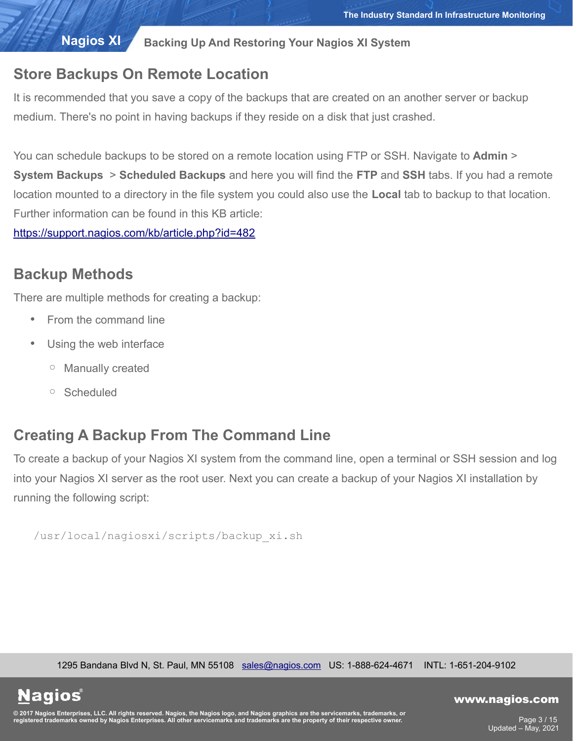# **Store Backups On Remote Location**

It is recommended that you save a copy of the backups that are created on an another server or backup medium. There's no point in having backups if they reside on a disk that just crashed.

You can schedule backups to be stored on a remote location using FTP or SSH. Navigate to **Admin** > **System Backups** > **Scheduled Backups** and here you will find the **FTP** and **SSH** tabs. If you had a remote location mounted to a directory in the file system you could also use the **Local** tab to backup to that location. Further information can be found in this KB article:

<https://support.nagios.com/kb/article.php?id=482>

# **Backup Methods**

There are multiple methods for creating a backup:

- From the command line
- Using the web interface
	- Manually created
	- Scheduled

**Nagios**®

# **Creating A Backup From The Command Line**

To create a backup of your Nagios XI system from the command line, open a terminal or SSH session and log into your Nagios XI server as the root user. Next you can create a backup of your Nagios XI installation by running the following script:

/usr/local/nagiosxi/scripts/backup\_xi.sh

1295 Bandana Blvd N, St. Paul, MN 55108 [sales@nagios.com](mailto:sales@nagios.com) US: 1-888-624-4671 INTL: 1-651-204-9102

© 2017 Nagios Enterprises, LLC. All rights reserved. Nagios, the Nagios logo, and Nagios graphics are the servicemarks, trademarks, or<br>registered trademarks owned by Nagios Enterprises. All other servicemarks and trademark

## [www.nagios.com](https://www.nagios.com/)

Page 3 / 15 Updated – May, 2021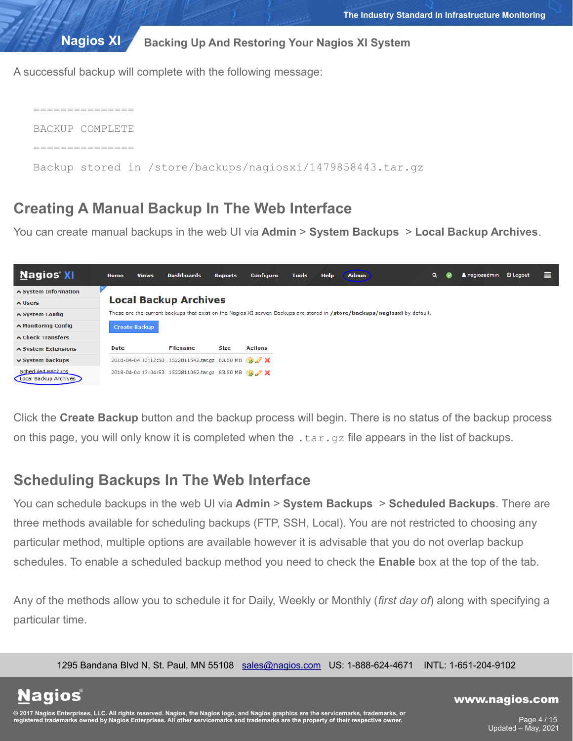A successful backup will complete with the following message:

| BACKUP COMPLETE                                            |
|------------------------------------------------------------|
|                                                            |
| Backup stored in /store/backups/nagiosxi/1479858443.tar.gz |

# **Creating A Manual Backup In The Web Interface**

You can create manual backups in the web UI via **Admin** > **System Backups** > **Local Backup Archives**.



Click the **Create Backup** button and the backup process will begin. There is no status of the backup process on this page, you will only know it is completed when the  $\tan z$  file appears in the list of backups.

# **Scheduling Backups In The Web Interface**

You can schedule backups in the web UI via **Admin** > **System Backups** > **Scheduled Backups**. There are three methods available for scheduling backups (FTP, SSH, Local). You are not restricted to choosing any particular method, multiple options are available however it is advisable that you do not overlap backup schedules. To enable a scheduled backup method you need to check the **Enable** box at the top of the tab.

Any of the methods allow you to schedule it for Daily, Weekly or Monthly (*first day of*) along with specifying a particular time.

1295 Bandana Blvd N, St. Paul, MN 55108 [sales@nagios.com](mailto:sales@nagios.com) US: 1-888-624-4671 INTL: 1-651-204-9102

**Nagios®** 

### [www.nagios.com](https://www.nagios.com/)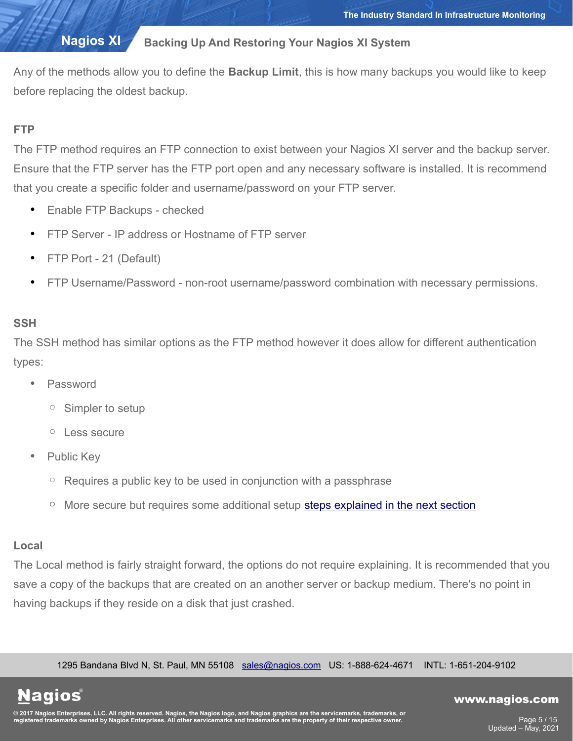Any of the methods allow you to define the **Backup Limit**, this is how many backups you would like to keep before replacing the oldest backup.

# **FTP**

The FTP method requires an FTP connection to exist between your Nagios XI server and the backup server. Ensure that the FTP server has the FTP port open and any necessary software is installed. It is recommend that you create a specific folder and username/password on your FTP server.

- Enable FTP Backups checked
- FTP Server IP address or Hostname of FTP server
- FTP Port 21 (Default)
- FTP Username/Password non-root username/password combination with necessary permissions.

# **SSH**

The SSH method has similar options as the FTP method however it does allow for different authentication types:

- Password
	- Simpler to setup
	- Less secure
- Public Key
	- Requires a public key to be used in conjunction with a passphrase
	- More secure but requires some additional setup [steps explained in the next section](#page-5-0)

## **Local**

The Local method is fairly straight forward, the options do not require explaining. It is recommended that you save a copy of the backups that are created on an another server or backup medium. There's no point in having backups if they reside on a disk that just crashed.

1295 Bandana Blvd N, St. Paul, MN 55108 [sales@nagios.com](mailto:sales@nagios.com) US: 1-888-624-4671 INTL: 1-651-204-9102

**Nagios**®

## [www.nagios.com](https://www.nagios.com/)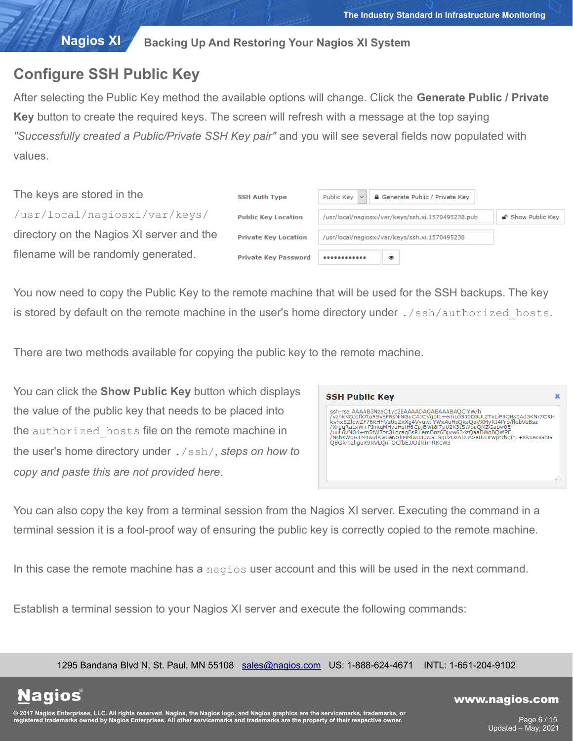# <span id="page-5-0"></span>**Configure SSH Public Key**

After selecting the Public Key method the available options will change. Click the **Generate Public / Private Key** button to create the required keys. The screen will refresh with a message at the top saying *"Successfully created a Public/Private SSH Key pair"* and you will see several fields now populated with values.

| The keys are stored in the                | <b>SSH Auth Type</b>        | <b>A</b> Generate Public / Private Key<br>Public Key $\vert \vee$ |                   |
|-------------------------------------------|-----------------------------|-------------------------------------------------------------------|-------------------|
| /usr/local/nagiosxi/var/keys/             | <b>Public Key Location</b>  | /usr/local/nagiosxi/var/keys/ssh.xi.1570495238.pub                | ■ Show Public Key |
| directory on the Nagios XI server and the | <b>Private Key Location</b> | /usr/local/nagiosxi/var/keys/ssh.xi.1570495238                    |                   |
| filename will be randomly generated.      | <b>Private Key Password</b> | $.$<br>◎                                                          |                   |

You now need to copy the Public Key to the remote machine that will be used for the SSH backups. The key is stored by default on the remote machine in the user's home directory under ./ssh/authorized hosts.

There are two methods available for copying the public key to the remote machine.

You can click the **Show Public Key** button which displays the value of the public key that needs to be placed into the authorized hosts file on the remote machine in the user's home directory under ./ssh/, *steps on how to copy and paste this are not provided here*.

| ssh-rsa AAAAB3NzaC1yc2EAAAADAQABAAABAQCiYW/h<br>/vzhkKOJafk7tu9SvaFRsNiNGuCAJCVapt1+emLcG00D3UL2TxLiP8OHs0Ad3KNr7CRH<br>kvhxSZlqwZF76RHHVzUqZxXq4VyuwtiYWxAuHcOkaOpVXMyRI4Prp/flebVeBsz<br>/XrggRaLxW+PJnkgMHyaHgfH6CpjBWt8f7pU2K3tSWbgQMZGabw0E<br>/uuL6vNQ4+m5tW7os31qcaqBsR1emBnz6Bjvw634zQaaBWoBQWPE<br>/NsbsWgG1M4wylKw6aNSkMMlw330ASESg02UzADJASe82BtWptzbgfnI+XkxaOGbt9<br>OBGkmzhguX9RVLOnTOCfbEJJOdRImRKcW3 | <b>SSH Public Key</b> |  |
|----------------------------------------------------------------------------------------------------------------------------------------------------------------------------------------------------------------------------------------------------------------------------------------------------------------------------------------------------------------------------------------------------------------------|-----------------------|--|
|                                                                                                                                                                                                                                                                                                                                                                                                                      |                       |  |

You can also copy the key from a terminal session from the Nagios XI server. Executing the command in a terminal session it is a fool-proof way of ensuring the public key is correctly copied to the remote machine.

In this case the remote machine has a nagios user account and this will be used in the next command.

Establish a terminal session to your Nagios XI server and execute the following commands:

1295 Bandana Blvd N, St. Paul, MN 55108 [sales@nagios.com](mailto:sales@nagios.com) US: 1-888-624-4671 INTL: 1-651-204-9102

**Nagios**®

### [www.nagios.com](https://www.nagios.com/)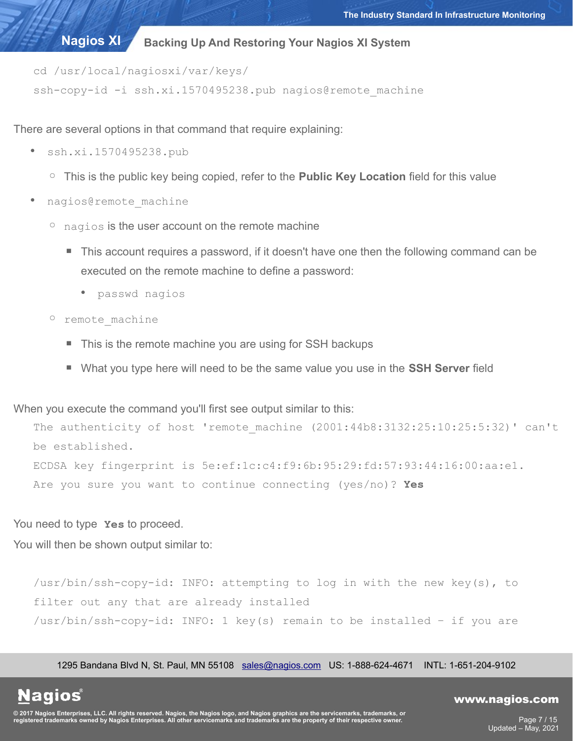cd /usr/local/nagiosxi/var/keys/

ssh-copy-id -i ssh.xi.1570495238.pub nagios@remote machine

There are several options in that command that require explaining:

- ssh.xi.1570495238.pub
	- This is the public key being copied, refer to the **Public Key Location** field for this value
- nagios@remote\_machine
	- $\degree$  nagios is the user account on the remote machine
		- This account requires a password, if it doesn't have one then the following command can be executed on the remote machine to define a password:
			- passwd nagios
	- remote\_machine
		- This is the remote machine you are using for SSH backups
		- What you type here will need to be the same value you use in the **SSH Server** field

When you execute the command you'll first see output similar to this:

The authenticity of host 'remote machine (2001:44b8:3132:25:10:25:5:32)' can't be established. ECDSA key fingerprint is 5e:ef:1c:c4:f9:6b:95:29:fd:57:93:44:16:00:aa:e1.

Are you sure you want to continue connecting (yes/no)? **Yes**

You need to type **Yes** to proceed.

You will then be shown output similar to:

/usr/bin/ssh-copy-id: INFO: attempting to log in with the new key(s), to filter out any that are already installed /usr/bin/ssh-copy-id: INFO: 1 key(s) remain to be installed – if you are

1295 Bandana Blvd N, St. Paul, MN 55108 [sales@nagios.com](mailto:sales@nagios.com) US: 1-888-624-4671 INTL: 1-651-204-9102

**Nagios®** 

### [www.nagios.com](https://www.nagios.com/)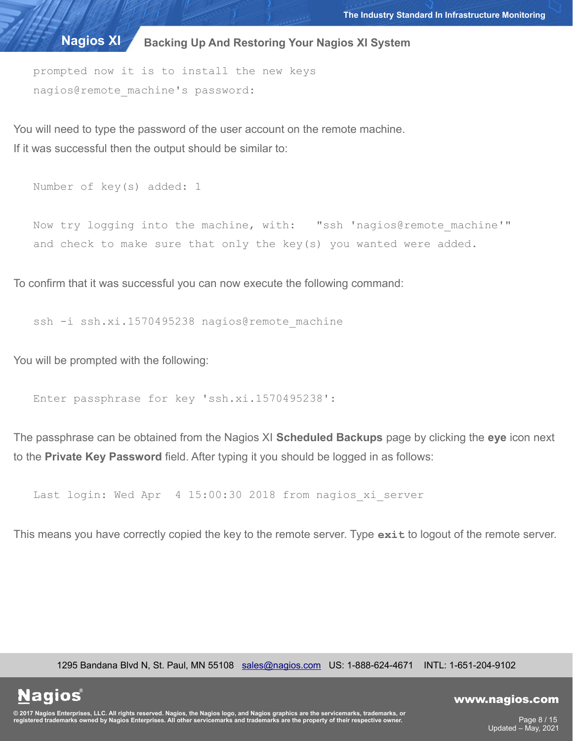prompted now it is to install the new keys nagios@remote machine's password:

You will need to type the password of the user account on the remote machine. If it was successful then the output should be similar to:

```
Number of key(s) added: 1
```
Now try logging into the machine, with: "ssh 'nagios@remote\_machine'" and check to make sure that only the key(s) you wanted were added.

To confirm that it was successful you can now execute the following command:

ssh -i ssh.xi.1570495238 nagios@remote machine

You will be prompted with the following:

**Nagios**®

Enter passphrase for key 'ssh.xi.1570495238':

The passphrase can be obtained from the Nagios XI **Scheduled Backups** page by clicking the **eye** icon next to the **Private Key Password** field. After typing it you should be logged in as follows:

Last login: Wed Apr 4 15:00:30 2018 from nagios xi server

This means you have correctly copied the key to the remote server. Type **exit** to logout of the remote server.

1295 Bandana Blvd N, St. Paul, MN 55108 [sales@nagios.com](mailto:sales@nagios.com) US: 1-888-624-4671 INTL: 1-651-204-9102

© 2017 Nagios Enterprises, LLC. All rights reserved. Nagios, the Nagios logo, and Nagios graphics are the servicemarks, trademarks, or<br>registered trademarks owned by Nagios Enterprises. All other servicemarks and trademark

## [www.nagios.com](https://www.nagios.com/)

Page 8 / 15 Updated – May, 2021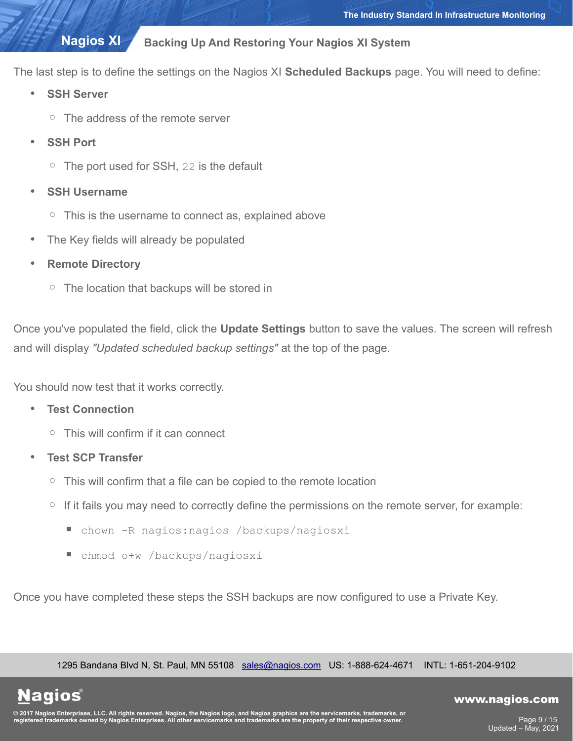# **Nagios XI**

# **Backing Up And Restoring Your Nagios XI System**

The last step is to define the settings on the Nagios XI **Scheduled Backups** page. You will need to define:

- **SSH Server**
	- The address of the remote server
- **SSH Port** 
	- The port used for SSH, 22 is the default
- **SSH Username**
	- This is the username to connect as, explained above
- The Key fields will already be populated
- **Remote Directory**
	- The location that backups will be stored in

Once you've populated the field, click the **Update Settings** button to save the values. The screen will refresh and will display *"Updated scheduled backup settings"* at the top of the page.

You should now test that it works correctly.

- **Test Connection**
	- This will confirm if it can connect
- **Test SCP Transfer**
	- This will confirm that a file can be copied to the remote location
	- If it fails you may need to correctly define the permissions on the remote server, for example:
		- chown -R nagios: nagios /backups/nagiosxi
		- chmod o+w /backups/nagiosxi

Once you have completed these steps the SSH backups are now configured to use a Private Key.

1295 Bandana Blvd N, St. Paul, MN 55108 [sales@nagios.com](mailto:sales@nagios.com) US: 1-888-624-4671 INTL: 1-651-204-9102

**Nagios®** 

## [www.nagios.com](https://www.nagios.com/)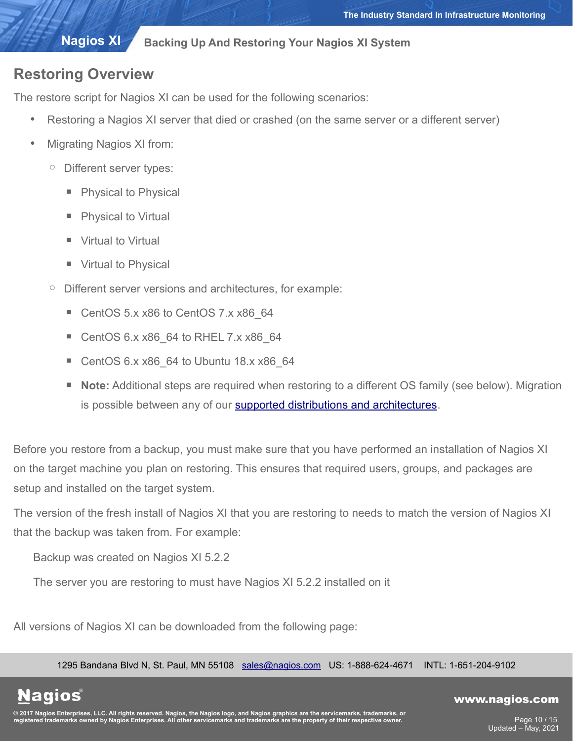# **Nagios XI**

## **Backing Up And Restoring Your Nagios XI System**

# **Restoring Overview**

The restore script for Nagios XI can be used for the following scenarios:

- Restoring a Nagios XI server that died or crashed (on the same server or a different server)
- Migrating Nagios XI from:
	- Different server types:
		- **Physical to Physical**
		- **Physical to Virtual**
		- **Virtual to Virtual**
		- **Virtual to Physical**
	- Different server versions and architectures, for example:
		- CentOS 5.x x86 to CentOS 7.x x86\_64
		- CentOS 6.x x86\_64 to RHEL 7.x x86\_64
		- CentOS  $6.x x86$  64 to Ubuntu 18.x  $x86$  64
		- Note: Additional steps are required when restoring to a different OS family (see below). Migration is possible between any of our [supported distributions and architectures.](https://support.nagios.com/kb/article.php?id=12)

Before you restore from a backup, you must make sure that you have performed an installation of Nagios XI on the target machine you plan on restoring. This ensures that required users, groups, and packages are setup and installed on the target system.

The version of the fresh install of Nagios XI that you are restoring to needs to match the version of Nagios XI that the backup was taken from. For example:

Backup was created on Nagios XI 5.2.2

The server you are restoring to must have Nagios XI 5.2.2 installed on it

All versions of Nagios XI can be downloaded from the following page:

1295 Bandana Blvd N, St. Paul, MN 55108 [sales@nagios.com](mailto:sales@nagios.com) US: 1-888-624-4671 INTL: 1-651-204-9102

**Nagios**®

### [www.nagios.com](https://www.nagios.com/)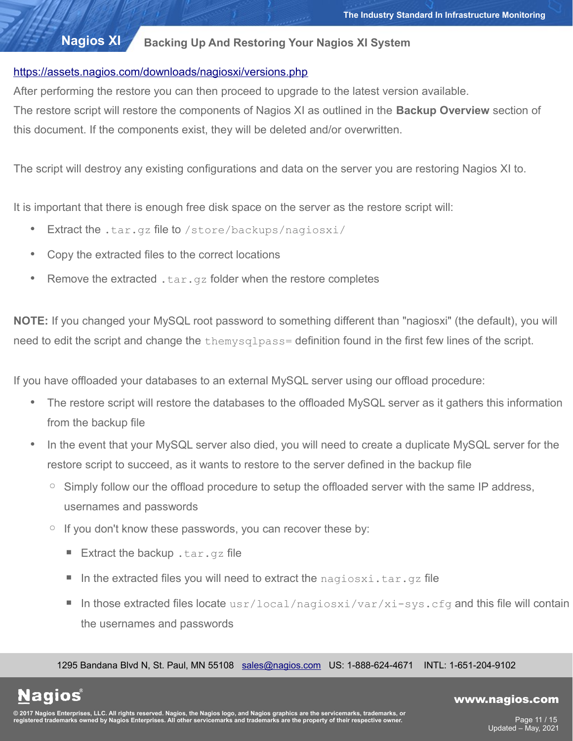# <https://assets.nagios.com/downloads/nagiosxi/versions.php>

After performing the restore you can then proceed to upgrade to the latest version available.

The restore script will restore the components of Nagios XI as outlined in the **Backup Overview** section of this document. If the components exist, they will be deleted and/or overwritten.

The script will destroy any existing configurations and data on the server you are restoring Nagios XI to.

It is important that there is enough free disk space on the server as the restore script will:

- **Extract the .tar.gz file to** /store/backups/nagiosxi/
- Copy the extracted files to the correct locations
- Remove the extracted  $tan.$ gz folder when the restore completes

**NOTE:** If you changed your MySQL root password to something different than "nagiosxi" (the default), you will need to edit the script and change the themysqlpass= definition found in the first few lines of the script.

If you have offloaded your databases to an external MySQL server using our offload procedure:

- The restore script will restore the databases to the offloaded MySQL server as it gathers this information from the backup file
- In the event that your MySQL server also died, you will need to create a duplicate MySQL server for the restore script to succeed, as it wants to restore to the server defined in the backup file
	- Simply follow our the offload procedure to setup the offloaded server with the same IP address, usernames and passwords
	- If you don't know these passwords, you can recover these by:
		- **Extract the backup** .tar.gz file
		- In the extracted files you will need to extract the  $n$ agiosxi.tar.gz file
		- **The In those extracted files locate** usr/local/nagiosxi/var/xi-sys.cfq and this file will contain the usernames and passwords

1295 Bandana Blvd N, St. Paul, MN 55108 [sales@nagios.com](mailto:sales@nagios.com) US: 1-888-624-4671 INTL: 1-651-204-9102

**Nagios®** 

## [www.nagios.com](https://www.nagios.com/)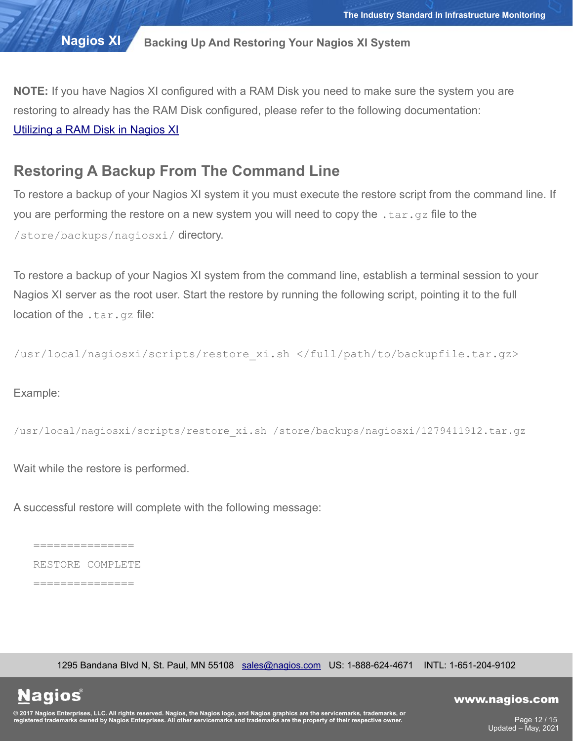**NOTE:** If you have Nagios XI configured with a RAM Disk you need to make sure the system you are restoring to already has the RAM Disk configured, please refer to the following documentation: [Utilizing a RAM Disk in Nagios XI](https://assets.nagios.com/downloads/nagiosxi/docs/Utilizing_A_RAM_Disk_In_NagiosXI.pdf)

# **Restoring A Backup From The Command Line**

To restore a backup of your Nagios XI system it you must execute the restore script from the command line. If you are performing the restore on a new system you will need to copy the  $tan, qz$  file to the /store/backups/nagiosxi/ directory.

To restore a backup of your Nagios XI system from the command line, establish a terminal session to your Nagios XI server as the root user. Start the restore by running the following script, pointing it to the full location of the .tar.qz file:

/usr/local/nagiosxi/scripts/restore\_xi.sh </full/path/to/backupfile.tar.gz>

Example:

```
/usr/local/nagiosxi/scripts/restore_xi.sh /store/backups/nagiosxi/1279411912.tar.gz
```
Wait while the restore is performed.

A successful restore will complete with the following message:

===============

RESTORE COMPLETE

===============

1295 Bandana Blvd N, St. Paul, MN 55108 [sales@nagios.com](mailto:sales@nagios.com) US: 1-888-624-4671 INTL: 1-651-204-9102

**Nagios®** 

### [www.nagios.com](https://www.nagios.com/)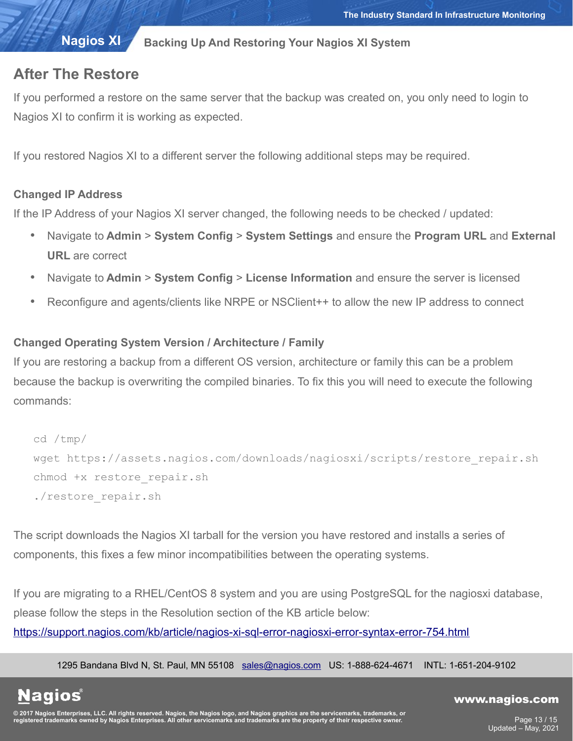# **Nagios XI**

# **Backing Up And Restoring Your Nagios XI System**

# **After The Restore**

If you performed a restore on the same server that the backup was created on, you only need to login to Nagios XI to confirm it is working as expected.

If you restored Nagios XI to a different server the following additional steps may be required.

# **Changed IP Address**

If the IP Address of your Nagios XI server changed, the following needs to be checked / updated:

- Navigate to **Admin** > **System Config** > **System Settings** and ensure the **Program URL** and **External URL** are correct
- Navigate to **Admin** > **System Config** > **License Information** and ensure the server is licensed
- Reconfigure and agents/clients like NRPE or NSClient++ to allow the new IP address to connect

# **Changed Operating System Version / Architecture / Family**

If you are restoring a backup from a different OS version, architecture or family this can be a problem because the backup is overwriting the compiled binaries. To fix this you will need to execute the following commands:

```
cd /tmp/
wget https://assets.nagios.com/downloads/nagiosxi/scripts/restore_repair.sh
chmod +x restore repair.sh
./restore_repair.sh
```
The script downloads the Nagios XI tarball for the version you have restored and installs a series of components, this fixes a few minor incompatibilities between the operating systems.

If you are migrating to a RHEL/CentOS 8 system and you are using PostgreSQL for the nagiosxi database, please follow the steps in the Resolution section of the KB article below:

<https://support.nagios.com/kb/article/nagios-xi-sql-error-nagiosxi-error-syntax-error-754.html>

1295 Bandana Blvd N, St. Paul, MN 55108 [sales@nagios.com](mailto:sales@nagios.com) US: 1-888-624-4671 INTL: 1-651-204-9102

**Nagios**®

### [www.nagios.com](https://www.nagios.com/)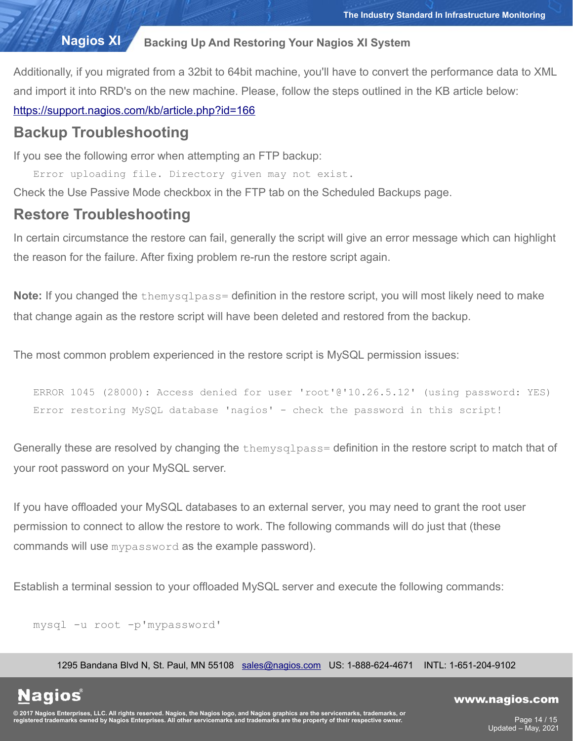Additionally, if you migrated from a 32bit to 64bit machine, you'll have to convert the performance data to XML and import it into RRD's on the new machine. Please, follow the steps outlined in the KB article below:

<https://support.nagios.com/kb/article.php?id=166>

# **Backup Troubleshooting**

If you see the following error when attempting an FTP backup:

Error uploading file. Directory given may not exist.

Check the Use Passive Mode checkbox in the FTP tab on the Scheduled Backups page.

# **Restore Troubleshooting**

In certain circumstance the restore can fail, generally the script will give an error message which can highlight the reason for the failure. After fixing problem re-run the restore script again.

**Note:** If you changed the themysqlpass= definition in the restore script, you will most likely need to make that change again as the restore script will have been deleted and restored from the backup.

The most common problem experienced in the restore script is MySQL permission issues:

ERROR 1045 (28000): Access denied for user 'root'@'10.26.5.12' (using password: YES) Error restoring MySQL database 'nagios' - check the password in this script!

Generally these are resolved by changing the themysqlpass= definition in the restore script to match that of your root password on your MySQL server.

If you have offloaded your MySQL databases to an external server, you may need to grant the root user permission to connect to allow the restore to work. The following commands will do just that (these commands will use mypassword as the example password).

Establish a terminal session to your offloaded MySQL server and execute the following commands:

mysql -u root -p'mypassword'

**Nagios®** 

1295 Bandana Blvd N, St. Paul, MN 55108 [sales@nagios.com](mailto:sales@nagios.com) US: 1-888-624-4671 INTL: 1-651-204-9102

© 2017 Nagios Enterprises, LLC. All rights reserved. Nagios, the Nagios logo, and Nagios graphics are the servicemarks, trademarks, or<br>registered trademarks owned by Nagios Enterprises. All other servicemarks and trademark

## [www.nagios.com](https://www.nagios.com/)

Page 14 / 15 Updated – May, 2021